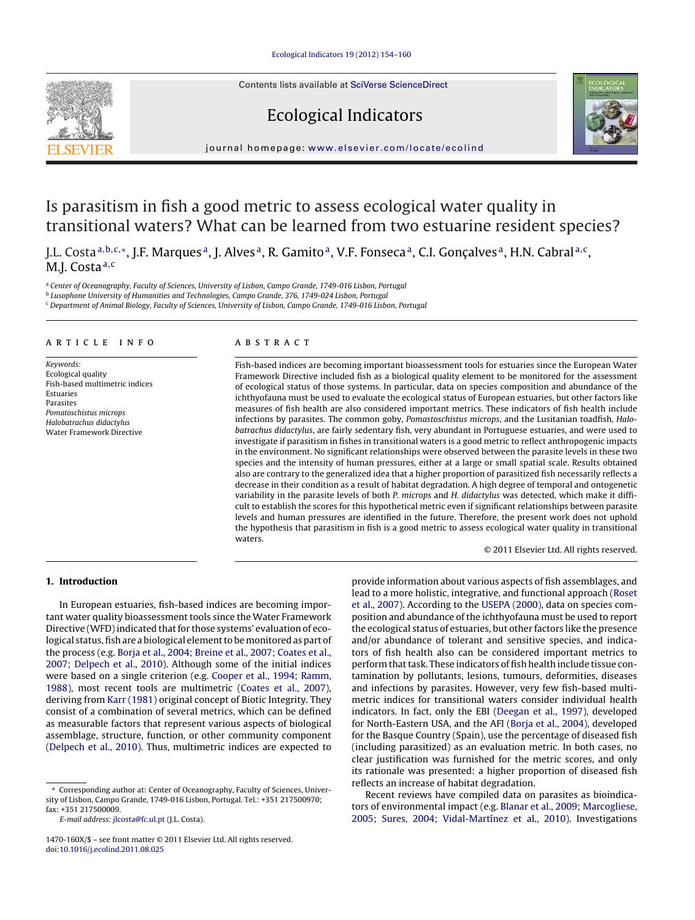Contents lists available at SciVerse [ScienceDirect](http://www.sciencedirect.com/science/journal/1470160X)







iournal homepage: [www.elsevier.com/locate/ecolind](http://www.elsevier.com/locate/ecolind)

# Is parasitism in fish a good metric to assess ecological water quality in transitional waters? What can be learned from two estuarine resident species?

J.L. Costa<sup>a,b,c,∗</sup>, J.F. Marques<sup>a</sup>, J. Alves<sup>a</sup>, R. Gamito<sup>a</sup>, V.F. Fonseca<sup>a</sup>, C.I. Gonçalves<sup>a</sup>, H.N. Cabral<sup>a,c</sup>, M.J. Costa a,c

a Center of Oceanography, Faculty of Sciences, University of Lisbon, Campo Grande, 1749-016 Lisbon, Portugal

<sup>b</sup> Lusophone University of Humanities and Technologies, Campo Grande, 376, 1749-024 Lisbon, Portugal

<sup>c</sup> Department of Animal Biology, Faculty of Sciences, University of Lisbon, Campo Grande, 1749-016 Lisbon, Portugal

## a r t i c l e i n f o

Keywords: Ecological quality Fish-based multimetric indices Estuaries Parasites Pomatoschistus microps Halobatrachus didactylus Water Framework Directive

## A B S T R A C T

Fish-based indices are becoming important bioassessment tools for estuaries since the European Water Framework Directive included fish as a biological quality element to be monitored for the assessment of ecological status of those systems. In particular, data on species composition and abundance of the ichthyofauna must be used to evaluate the ecological status of European estuaries, but other factors like measures of fish health are also considered important metrics. These indicators of fish health include infections by parasites. The common goby, Pomastoschistus microps, and the Lusitanian toadfish, Halobatrachus didactylus, are fairly sedentary fish, very abundant in Portuguese estuaries, and were used to investigate if parasitism in fishes in transitional waters is a good metric to reflect anthropogenic impacts in the environment. No significant relationships were observed between the parasite levels in these two species and the intensity of human pressures, either at a large or small spatial scale. Results obtained also are contrary to the generalized idea that a higher proportion of parasitized fish necessarily reflects a decrease in their condition as a result of habitat degradation. A high degree of temporal and ontogenetic variability in the parasite levels of both P. microps and H. didactylus was detected, which make it difficult to establish the scores for this hypothetical metric even if significant relationships between parasite levels and human pressures are identified in the future. Therefore, the present work does not uphold the hypothesis that parasitism in fish is a good metric to assess ecological water quality in transitional waters.

© 2011 Elsevier Ltd. All rights reserved.

## **1. Introduction**

In European estuaries, fish-based indices are becoming important water quality bioassessment tools since the Water Framework Directive (WFD) indicated that for those systems' evaluation of ecological status, fish are a biological element to be monitored as part of the process (e.g. [Borja](#page-5-0) et [al.,](#page-5-0) [2004;](#page-5-0) [Breine](#page-5-0) [et](#page-5-0) [al.,](#page-5-0) [2007;](#page-5-0) [Coates](#page-5-0) et [al.,](#page-5-0) [2007;](#page-5-0) [Delpech](#page-5-0) et [al.,](#page-5-0) [2010\).](#page-5-0) Although some of the initial indices were based on a single criterion (e.g. [Cooper](#page-6-0) et [al.,](#page-6-0) [1994;](#page-6-0) [Ramm,](#page-6-0) [1988\),](#page-6-0) most recent tools are multimetric ([Coates](#page-6-0) et [al.,](#page-6-0) [2007\),](#page-6-0) deriving from [Karr](#page-6-0) [\(1981\)](#page-6-0) original concept of Biotic Integrity. They consist of a combination of several metrics, which can be defined as measurable factors that represent various aspects of biological assemblage, structure, function, or other community component ([Delpech](#page-6-0) et [al.,](#page-6-0) [2010\).](#page-6-0) Thus, multimetric indices are expected to

provide information about various aspects of fish assemblages, and lead to a more holistic, integrative, and functional approach ([Roset](#page-6-0) et [al.,](#page-6-0) [2007\).](#page-6-0) According to the [USEPA](#page-6-0) [\(2000\),](#page-6-0) data on species composition and abundance of the ichthyofauna must be used to report the ecological status of estuaries, but other factors like the presence and/or abundance of tolerant and sensitive species, and indicators of fish health also can be considered important metrics to perform that task. These indicators of fish health include tissue contamination by pollutants, lesions, tumours, deformities, diseases and infections by parasites. However, very few fish-based multimetric indices for transitional waters consider individual health indicators. In fact, only the EBI [\(Deegan](#page-6-0) et [al.,](#page-6-0) [1997\),](#page-6-0) developed for North-Eastern USA, and the AFI [\(Borja](#page-5-0) et [al.,](#page-5-0) [2004\),](#page-5-0) developed for the Basque Country (Spain), use the percentage of diseased fish (including parasitized) as an evaluation metric. In both cases, no clear justification was furnished for the metric scores, and only its rationale was presented: a higher proportion of diseased fish reflects an increase of habitat degradation.

Recent reviews have compiled data on parasites as bioindicators of environmental impact (e.g. [Blanar](#page-5-0) [et](#page-5-0) [al.,](#page-5-0) [2009;](#page-5-0) [Marcogliese,](#page-5-0) [2005;](#page-5-0) [Sures,](#page-5-0) [2004;](#page-5-0) [Vidal-Martínez](#page-5-0) et [al.,](#page-5-0) [2010\).](#page-5-0) Investigations

<sup>∗</sup> Corresponding author at: Center of Oceanography, Faculty of Sciences, University of Lisbon, Campo Grande, 1749-016 Lisbon, Portugal. Tel.: +351 217500970; fax: +351 217500009.

E-mail address: [jlcosta@fc.ul.pt](mailto:jlcosta@fc.ul.pt) (J.L. Costa).

<sup>1470-160</sup>X/\$ – see front matter © 2011 Elsevier Ltd. All rights reserved. doi:[10.1016/j.ecolind.2011.08.025](dx.doi.org/10.1016/j.ecolind.2011.08.025)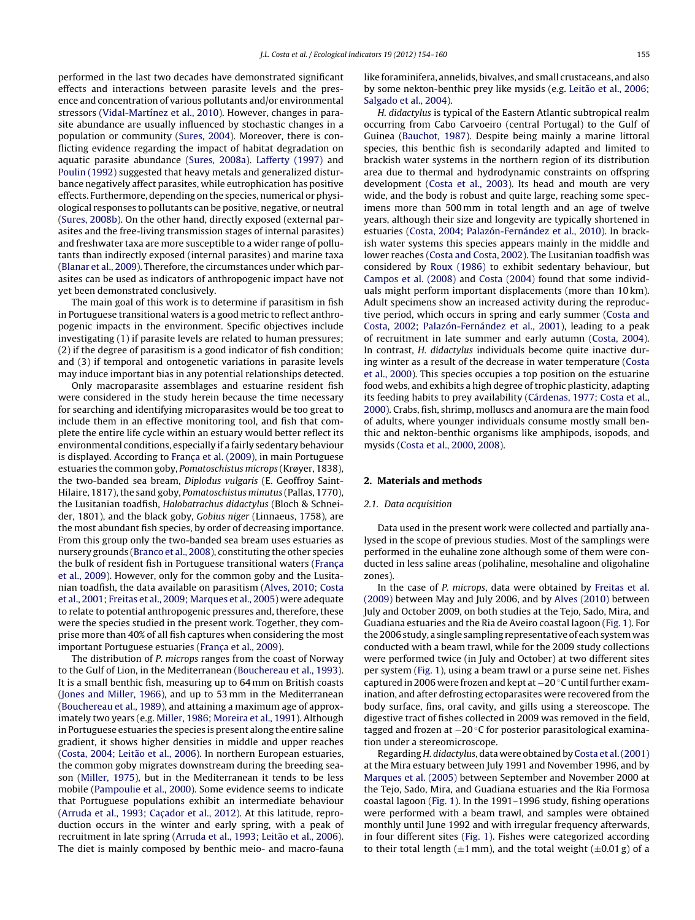performed in the last two decades have demonstrated significant effects and interactions between parasite levels and the presence and concentration of various pollutants and/or environmental stressors ([Vidal-Martínez](#page-6-0) et [al.,](#page-6-0) [2010\).](#page-6-0) However, changes in parasite abundance are usually influenced by stochastic changes in a population or community [\(Sures,](#page-6-0) [2004\).](#page-6-0) Moreover, there is conflicting evidence regarding the impact of habitat degradation on aquatic parasite abundance [\(Sures,](#page-6-0) [2008a\).](#page-6-0) [Lafferty](#page-6-0) [\(1997\)](#page-6-0) and [Poulin](#page-6-0) [\(1992\)](#page-6-0) suggested that heavy metals and generalized disturbance negatively affect parasites, while eutrophication has positive effects. Furthermore, depending on the species, numerical or physiological responses to pollutants can be positive, negative, or neutral ([Sures,](#page-6-0) [2008b\).](#page-6-0) On the other hand, directly exposed (external parasites and the free-living transmission stages of internal parasites) and freshwater taxa are more susceptible to a wider range of pollutants than indirectly exposed (internal parasites) and marine taxa ([Blanar](#page-5-0) et [al.,](#page-5-0) [2009\).](#page-5-0) Therefore, the circumstances under which parasites can be used as indicators of anthropogenic impact have not yet been demonstrated conclusively.

The main goal of this work is to determine if parasitism in fish in Portuguese transitional waters is a good metric to reflect anthropogenic impacts in the environment. Specific objectives include investigating (1) if parasite levels are related to human pressures; (2) if the degree of parasitism is a good indicator of fish condition; and (3) if temporal and ontogenetic variations in parasite levels may induce important bias in any potential relationships detected.

Only macroparasite assemblages and estuarine resident fish were considered in the study herein because the time necessary for searching and identifying microparasites would be too great to include them in an effective monitoring tool, and fish that complete the entire life cycle within an estuary would better reflect its environmental conditions, especially if a fairly sedentary behaviour is displayed. According to França et [al.](#page-6-0) [\(2009\),](#page-6-0) in main Portuguese estuaries the common goby, Pomatoschistus microps (Krøyer, 1838), the two-banded sea bream, Diplodus vulgaris (E. Geoffroy Saint-Hilaire, 1817), the sand goby, Pomatoschistus minutus (Pallas, 1770), the Lusitanian toadfish, Halobatrachus didactylus (Bloch & Schneider, 1801), and the black goby, Gobius niger (Linnaeus, 1758), are the most abundant fish species, by order of decreasing importance. From this group only the two-banded sea bream uses estuaries as nursery grounds [\(Branco](#page-6-0) et [al.,](#page-6-0) [2008\),](#page-6-0) constituting the other species the bulk of resident fish in Portuguese transitional waters (França et [al.,](#page-6-0) [2009\).](#page-6-0) However, only for the common goby and the Lusitanian toadfish, the data available on parasitism [\(Alves,](#page-5-0) [2010;](#page-5-0) [Costa](#page-5-0) et [al.,](#page-5-0) [2001;](#page-5-0) [Freitas](#page-5-0) et [al.,](#page-5-0) [2009;](#page-5-0) [Marques](#page-5-0) et [al.,](#page-5-0) [2005\)](#page-5-0) were adequate to relate to potential anthropogenic pressures and, therefore, these were the species studied in the present work. Together, they comprise more than 40% of all fish captures when considering the most important Portuguese estuaries (França et [al.,](#page-6-0) [2009\).](#page-6-0)

The distribution of P. microps ranges from the coast of Norway to the Gulf of Lion, in the Mediterranean ([Bouchereau](#page-6-0) et [al.,](#page-6-0) [1993\).](#page-6-0) It is a small benthic fish, measuring up to 64 mm on British coasts ([Jones](#page-6-0) [and](#page-6-0) [Miller,](#page-6-0) [1966\),](#page-6-0) and up to 53 mm in the Mediterranean ([Bouchereau](#page-5-0) et [al.,](#page-5-0) [1989\),](#page-5-0) and attaining a maximum age of approximately two years (e.g. [Miller,](#page-6-0) [1986;](#page-6-0) [Moreira](#page-6-0) [et](#page-6-0) [al.,](#page-6-0) [1991\).](#page-6-0) Although in Portuguese estuaries the species is present along the entire saline gradient, it shows higher densities in middle and upper reaches ([Costa,](#page-6-0) [2004;](#page-6-0) [Leitão](#page-6-0) et [al.,](#page-6-0) [2006\).](#page-6-0) In northern European estuaries, the common goby migrates downstream during the breeding season ([Miller,](#page-6-0) [1975\),](#page-6-0) but in the Mediterranean it tends to be less mobile ([Pampoulie](#page-6-0) et [al.,](#page-6-0) [2000\).](#page-6-0) Some evidence seems to indicate that Portuguese populations exhibit an intermediate behaviour ([Arruda](#page-5-0) et [al.,](#page-5-0) [1993;](#page-5-0) Caç[ador](#page-5-0) et al., [2012\).](#page-5-0) At this latitude, reproduction occurs in the winter and early spring, with a peak of recruitment in late spring [\(Arruda](#page-5-0) [et](#page-5-0) [al.,](#page-5-0) [1993;](#page-5-0) [Leitão](#page-5-0) et [al.,](#page-5-0) [2006\).](#page-5-0) The diet is mainly composed by benthic meio- and macro-fauna

like foraminifera, annelids, bivalves, and small crustaceans, and also by some nekton-benthic prey like mysids (e.g. [Leitão](#page-6-0) et [al.,](#page-6-0) [2006;](#page-6-0) [Salgado](#page-6-0) et [al.,](#page-6-0) [2004\).](#page-6-0)

H. didactylus is typical of the Eastern Atlantic subtropical realm occurring from Cabo Carvoeiro (central Portugal) to the Gulf of Guinea [\(Bauchot,](#page-5-0) [1987\).](#page-5-0) Despite being mainly a marine littoral species, this benthic fish is secondarily adapted and limited to brackish water systems in the northern region of its distribution area due to thermal and hydrodynamic constraints on offspring development ([Costa](#page-6-0) et [al.,](#page-6-0) [2003\).](#page-6-0) Its head and mouth are very wide, and the body is robust and quite large, reaching some specimens more than 500 mm in total length and an age of twelve years, although their size and longevity are typically shortened in estuaries [\(Costa,](#page-6-0) [2004;](#page-6-0) [Palazón-Fernández](#page-6-0) et [al.,](#page-6-0) [2010\).](#page-6-0) In brackish water systems this species appears mainly in the middle and lower reaches ([Costa](#page-6-0) [and](#page-6-0) [Costa,](#page-6-0) [2002\).](#page-6-0) The Lusitanian toadfish was considered by [Roux](#page-6-0) [\(1986\)](#page-6-0) to exhibit sedentary behaviour, but [Campos](#page-6-0) et [al.](#page-6-0) [\(2008\)](#page-6-0) and [Costa](#page-6-0) [\(2004\)](#page-6-0) found that some individuals might perform important displacements (more than 10 km). Adult specimens show an increased activity during the reproductive period, which occurs in spring and early summer [\(Costa](#page-6-0) [and](#page-6-0) [Costa,](#page-6-0) [2002;](#page-6-0) [Palazón-Fernández](#page-6-0) et [al.,](#page-6-0) [2001\),](#page-6-0) leading to a peak of recruitment in late summer and early autumn [\(Costa,](#page-6-0) [2004\).](#page-6-0) In contrast, H. didactylus individuals become quite inactive during winter as a result of the decrease in water temperature ([Costa](#page-6-0) et [al.,](#page-6-0) [2000\).](#page-6-0) This species occupies a top position on the estuarine food webs, and exhibits a high degree of trophic plasticity, adapting its feeding habits to prey availability ([Cárdenas,](#page-6-0) [1977;](#page-6-0) [Costa](#page-6-0) et [al.,](#page-6-0) [2000\).](#page-6-0) Crabs, fish, shrimp, molluscs and anomura are the main food of adults, where younger individuals consume mostly small benthic and nekton-benthic organisms like amphipods, isopods, and mysids [\(Costa](#page-6-0) et [al.,](#page-6-0) [2000,](#page-6-0) [2008\).](#page-6-0)

## **2. Materials and methods**

#### 2.1. Data acquisition

Data used in the present work were collected and partially analysed in the scope of previous studies. Most of the samplings were performed in the euhaline zone although some of them were conducted in less saline areas (polihaline, mesohaline and oligohaline zones).

In the case of P. microps, data were obtained by [Freitas](#page-6-0) et [al.](#page-6-0) [\(2009\)](#page-6-0) between May and July 2006, and by [Alves](#page-5-0) [\(2010\)](#page-5-0) between July and October 2009, on both studies at the Tejo, Sado, Mira, and Guadiana estuaries and the Ria de Aveiro coastal lagoon [\(Fig.](#page-2-0) 1). For the 2006 study, a single sampling representative of each system was conducted with a beam trawl, while for the 2009 study collections were performed twice (in July and October) at two different sites per system [\(Fig.](#page-2-0) 1), using a beam trawl or a purse seine net. Fishes captured in2006 were frozenand kept at−20 ◦Cuntilfurther examination, and after defrosting ectoparasites were recovered from the body surface, fins, oral cavity, and gills using a stereoscope. The digestive tract of fishes collected in 2009 was removed in the field, tagged and frozen at −20 ◦C for posterior parasitological examination under a stereomicroscope.

Regarding H. didactylus, data were obtained by [Costa](#page-6-0) et [al.\(2001\)](#page-6-0) at the Mira estuary between July 1991 and November 1996, and by [Marques](#page-6-0) et [al.](#page-6-0) [\(2005\)](#page-6-0) between September and November 2000 at the Tejo, Sado, Mira, and Guadiana estuaries and the Ria Formosa coastal lagoon [\(Fig.](#page-2-0) 1). In the 1991–1996 study, fishing operations were performed with a beam trawl, and samples were obtained monthly until June 1992 and with irregular frequency afterwards, in four different sites [\(Fig.](#page-2-0) 1). Fishes were categorized according to their total length ( $\pm 1$  mm), and the total weight ( $\pm 0.01$  g) of a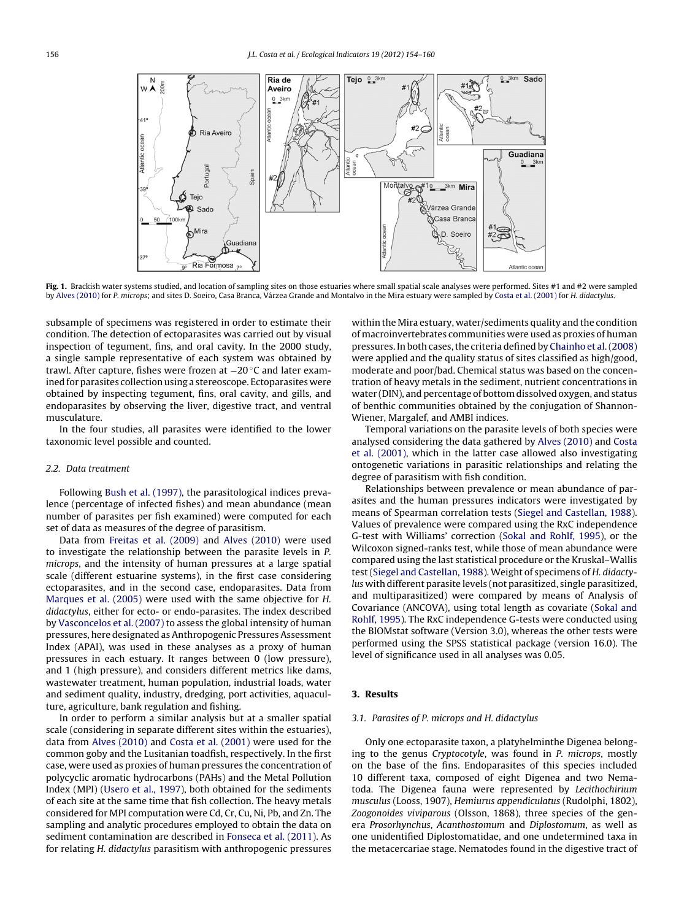<span id="page-2-0"></span>

Fig. 1. Brackish water systems studied, and location of sampling sites on those estuaries where small spatial scale analyses were performed. Sites #1 and #2 were sampled by [Alves](#page-5-0) [\(2010\)](#page-5-0) for P. microps; and sites D. Soeiro, Casa Branca, Várzea Grande and Montalvo in the Mira estuary were sampled by [Costa](#page-6-0) et [al.](#page-6-0) [\(2001\)](#page-6-0) for H. didactylus.

subsample of specimens was registered in order to estimate their condition. The detection of ectoparasites was carried out by visual inspection of tegument, fins, and oral cavity. In the 2000 study, a single sample representative of each system was obtained by trawl. After capture, fishes were frozen at −20 ◦C and later examined for parasites collection using a stereoscope. Ectoparasites were obtained by inspecting tegument, fins, oral cavity, and gills, and endoparasites by observing the liver, digestive tract, and ventral musculature.

In the four studies, all parasites were identified to the lower taxonomic level possible and counted.

### 2.2. Data treatment

Following [Bush](#page-6-0) et [al.](#page-6-0) [\(1997\),](#page-6-0) the parasitological indices prevalence (percentage of infected fishes) and mean abundance (mean number of parasites per fish examined) were computed for each set of data as measures of the degree of parasitism.

Data from [Freitas](#page-6-0) et [al.](#page-6-0) [\(2009\)](#page-6-0) and [Alves](#page-5-0) [\(2010\)](#page-5-0) were used to investigate the relationship between the parasite levels in P. microps, and the intensity of human pressures at a large spatial scale (different estuarine systems), in the first case considering ectoparasites, and in the second case, endoparasites. Data from [Marques](#page-6-0) et [al.](#page-6-0) [\(2005\)](#page-6-0) were used with the same objective for H. didactylus, either for ecto- or endo-parasites. The index described by [Vasconcelos](#page-6-0) et [al.](#page-6-0) [\(2007\)](#page-6-0) to assess the global intensity of human pressures, here designated as Anthropogenic Pressures Assessment Index (APAI), was used in these analyses as a proxy of human pressures in each estuary. It ranges between 0 (low pressure), and 1 (high pressure), and considers different metrics like dams, wastewater treatment, human population, industrial loads, water and sediment quality, industry, dredging, port activities, aquaculture, agriculture, bank regulation and fishing.

In order to perform a similar analysis but at a smaller spatial scale (considering in separate different sites within the estuaries), data from [Alves](#page-5-0) [\(2010\)](#page-5-0) and [Costa](#page-6-0) et [al.](#page-6-0) [\(2001\)](#page-6-0) were used for the common goby and the Lusitanian toadfish, respectively. In the first case, were used as proxies of human pressures the concentration of polycyclic aromatic hydrocarbons (PAHs) and the Metal Pollution Index (MPI) [\(Usero](#page-6-0) et [al.,](#page-6-0) [1997\),](#page-6-0) both obtained for the sediments of each site at the same time that fish collection. The heavy metals considered for MPI computation were Cd, Cr, Cu, Ni, Pb, and Zn. The sampling and analytic procedures employed to obtain the data on sediment contamination are described in [Fonseca](#page-6-0) et [al.](#page-6-0) [\(2011\).](#page-6-0) As for relating H. didactylus parasitism with anthropogenic pressures

within the Mira estuary, water/sediments quality and the condition of macroinvertebrates communities were used as proxies of human pressures. In both cases, the criteria defined by [Chainho](#page-6-0) et al. (2008) were applied and the quality status of sites classified as high/good, moderate and poor/bad. Chemical status was based on the concentration of heavy metals in the sediment, nutrient concentrations in water (DIN), and percentage of bottom dissolved oxygen, and status of benthic communities obtained by the conjugation of Shannon-Wiener, Margalef, and AMBI indices.

Temporal variations on the parasite levels of both species were analysed considering the data gathered by [Alves](#page-5-0) [\(2010\)](#page-5-0) and [Costa](#page-6-0) et [al.](#page-6-0) [\(2001\),](#page-6-0) which in the latter case allowed also investigating ontogenetic variations in parasitic relationships and relating the degree of parasitism with fish condition.

Relationships between prevalence or mean abundance of parasites and the human pressures indicators were investigated by means of Spearman correlation tests ([Siegel](#page-6-0) [and](#page-6-0) [Castellan,](#page-6-0) [1988\).](#page-6-0) Values of prevalence were compared using the RxC independence G-test with Williams' correction ([Sokal](#page-6-0) [and](#page-6-0) [Rohlf,](#page-6-0) [1995\),](#page-6-0) or the Wilcoxon signed-ranks test, while those of mean abundance were compared using the last statistical procedure or the Kruskal–Wallis test[\(Siegel](#page-6-0) [and](#page-6-0) [Castellan,](#page-6-0) [1988\).](#page-6-0) Weight of specimens of H. didactylus with different parasite levels (not parasitized, single parasitized, and multiparasitized) were compared by means of Analysis of Covariance (ANCOVA), using total length as covariate [\(Sokal](#page-6-0) [and](#page-6-0) [Rohlf,](#page-6-0) [1995\).](#page-6-0) The RxC independence G-tests were conducted using the BIOMstat software (Version 3.0), whereas the other tests were performed using the SPSS statistical package (version 16.0). The level of significance used in all analyses was 0.05.

## **3. Results**

## 3.1. Parasites of P. microps and H. didactylus

Only one ectoparasite taxon, a platyhelminthe Digenea belonging to the genus Cryptocotyle, was found in P. microps, mostly on the base of the fins. Endoparasites of this species included 10 different taxa, composed of eight Digenea and two Nematoda. The Digenea fauna were represented by Lecithochirium musculus (Looss, 1907), Hemiurus appendiculatus (Rudolphi, 1802), Zoogonoides viviparous (Olsson, 1868), three species of the genera Prosorhynchus, Acanthostomum and Diplostomum, as well as one unidentified Diplostomatidae, and one undetermined taxa in the metacercariae stage. Nematodes found in the digestive tract of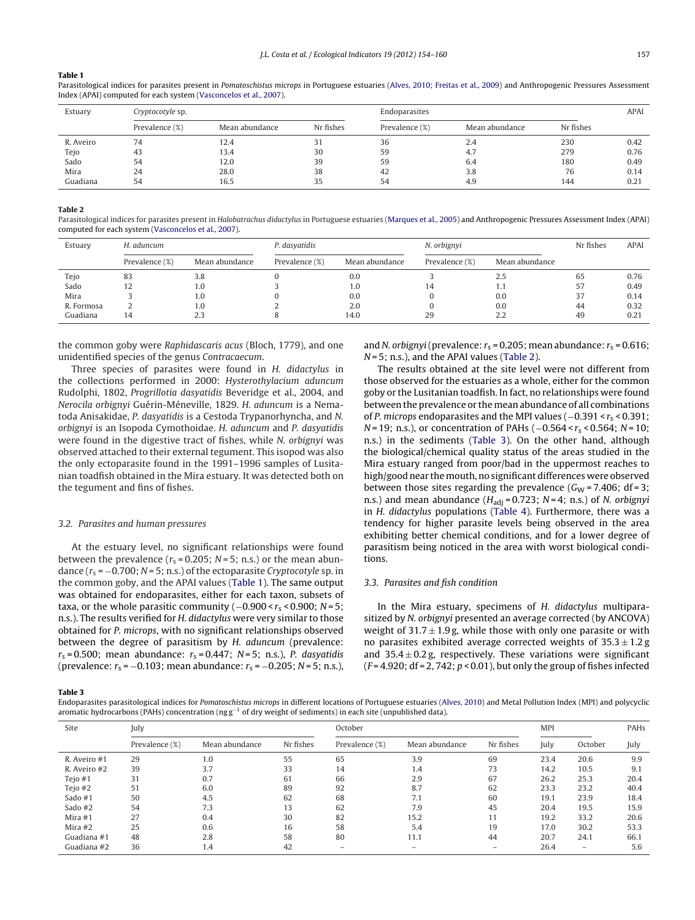## <span id="page-3-0"></span>**Table 1**

Parasitological indices for parasites present in Pomatoschistus microps in Portuguese estuaries [\(Alves,](#page-5-0) [2010;](#page-5-0) [Freitas](#page-5-0) et [al.,](#page-5-0) [2009\)](#page-5-0) and Anthropogenic Pressures Assessment Index (APAI) computed for each system [\(Vasconcelos](#page-6-0) et [al.,](#page-6-0) [2007\).](#page-6-0)

| Estuary   | Cryptocotyle sp. |                |           | Endoparasites  |                |           | APAI |
|-----------|------------------|----------------|-----------|----------------|----------------|-----------|------|
|           | Prevalence (%)   | Mean abundance | Nr fishes | Prevalence (%) | Mean abundance | Nr fishes |      |
| R. Aveiro | 74               | 12.4           | 31        | 36             | 2.4            | 230       | 0.42 |
| Tejo      | 43               | 13.4           | 30        | 59             | 4.7            | 279       | 0.76 |
| Sado      | 54               | 12.0           | 39        | 59             | 6.4            | 180       | 0.49 |
| Mira      | 24               | 28.0           | 38        | 42             | 3.8            | 76        | 0.14 |
| Guadiana  | 54               | 16.5           | 35        | 54             | 4.9            | 144       | 0.21 |

#### **Table 2**

Parasitological indices for parasites present in Halobatrachus didactylus in Portuguese estuaries [\(Marques](#page-6-0) et [al.,](#page-6-0) [2005\)](#page-6-0) and Anthropogenic Pressures Assessment Index (APAI) computed for each system [\(Vasconcelos](#page-6-0) et [al.,](#page-6-0) [2007\).](#page-6-0)

| Estuary    | H. aduncum     |                | P. dasyatidis  |                | N. orbignyi    |                | Nr fishes | APAI |
|------------|----------------|----------------|----------------|----------------|----------------|----------------|-----------|------|
|            | Prevalence (%) | Mean abundance | Prevalence (%) | Mean abundance | Prevalence (%) | Mean abundance |           |      |
| Tejo       | 83             | 3.8            |                | 0.0            |                | 2.5            | 65        | 0.76 |
| Sado       |                | 1.0            |                | 1.0            | 14             | 1.1            | 57        | 0.49 |
| Mira       |                | 1.0            |                | 0.0            |                | 0.0            | 37        | 0.14 |
| R. Formosa |                | 1.0            |                | 2.0            |                | 0.0            | 44        | 0.32 |
| Guadiana   | 14             | 2.3            |                | 14.0           | 29             | 2.2            | 49        | 0.21 |

the common goby were Raphidascaris acus (Bloch, 1779), and one unidentified species of the genus Contracaecum.

Three species of parasites were found in H. didactylus in the collections performed in 2000: Hysterothylacium aduncum Rudolphi, 1802, Progrillotia dasyatidis Beveridge et al., 2004, and Nerocila orbignyi Guérin-Méneville, 1829. H. aduncum is a Nematoda Anisakidae, P. dasyatidis is a Cestoda Trypanorhyncha, and N. orbignyi is an Isopoda Cymothoidae. H. aduncum and P. dasyatidis were found in the digestive tract of fishes, while N. orbignyi was observed attached to their external tegument. This isopod was also the only ectoparasite found in the 1991–1996 samples of Lusitanian toadfish obtained in the Mira estuary. It was detected both on the tegument and fins of fishes.

## 3.2. Parasites and human pressures

At the estuary level, no significant relationships were found between the prevalence ( $r_s$  = 0.205; N = 5; n.s.) or the mean abundance  $(r_s = -0.700; N = 5; n.s.)$  of the ectoparasite Cryptocotyle sp. in the common goby, and the APAI values (Table 1). The same output was obtained for endoparasites, either for each taxon, subsets of taxa, or the whole parasitic community  $(-0.900 \le r_s \le 0.900; N = 5;$ n.s.). The results verified for H. didactylus were very similar to those obtained for P. microps, with no significant relationships observed between the degree of parasitism by H. aduncum (prevalence:  $r_s = 0.500$ ; mean abundance:  $r_s = 0.447$ ; N = 5; n.s.), P. dasyatidis (prevalence:  $r_s = -0.103$ ; mean abundance:  $r_s = -0.205$ ;  $N = 5$ ; n.s.),

and N. orbignyi (prevalence:  $r_s = 0.205$ ; mean abundance:  $r_s = 0.616$ ;  $N = 5$ ; n.s.), and the APAI values (Table 2).

The results obtained at the site level were not different from those observed for the estuaries as a whole, either for the common goby or the Lusitanian toadfish. In fact, no relationships were found between the prevalence or the mean abundance of all combinations of P. microps endoparasites and the MPI values ( $-0.391 < r_s < 0.391$ ;  $N = 19$ ; n.s.), or concentration of PAHs ( $-0.564 < r_s < 0.564$ ;  $N = 10$ ; n.s.) in the sediments (Table 3). On the other hand, although the biological/chemical quality status of the areas studied in the Mira estuary ranged from poor/bad in the uppermost reaches to high/good near the mouth, no significant differences were observed between those sites regarding the prevalence ( $G_W = 7.406$ ; df=3; n.s.) and mean abundance  $(H_{\text{adj}} = 0.723; N=4; n.s.)$  of N. orbignyi in H. didactylus populations ([Table](#page-4-0) 4). Furthermore, there was a tendency for higher parasite levels being observed in the area exhibiting better chemical conditions, and for a lower degree of parasitism being noticed in the area with worst biological conditions.

## 3.3. Parasites and fish condition

In the Mira estuary, specimens of H. didactylus multiparasitized by N. orbignyi presented an average corrected (by ANCOVA) weight of  $31.7 \pm 1.9$  g, while those with only one parasite or with no parasites exhibited average corrected weights of  $35.3 \pm 1.2$  g and  $35.4 \pm 0.2$  g, respectively. These variations were significant  $(F = 4.920; df = 2, 742; p < 0.01)$ , but only the group of fishes infected

**Table 3**

Endoparasites parasitological indices for Pomatoschistus microps in different locations of Portuguese estuaries ([Alves,](#page-5-0) [2010\)](#page-5-0) and Metal Pollution Index (MPI) and polycyclic aromatic hydrocarbons (PAHs) concentration (ng g−<sup>1</sup> of dry weight of sediments) in each site (unpublished data).

| Site         | July           |                |           | October        |                |                          | <b>MPI</b> |                          | PAHs |
|--------------|----------------|----------------|-----------|----------------|----------------|--------------------------|------------|--------------------------|------|
|              | Prevalence (%) | Mean abundance | Nr fishes | Prevalence (%) | Mean abundance | Nr fishes                | July       | October                  | July |
| R. Aveiro #1 | 29             | 1.0            | 55        | 65             | 3.9            | 69                       | 23.4       | 20.6                     | 9.9  |
| R. Aveiro #2 | 39             | 3.7            | 33        | 14             | 1.4            | 73                       | 14.2       | 10.5                     | 9.1  |
| Tejo #1      | 31             | 0.7            | 61        | 66             | 2.9            | 67                       | 26.2       | 25.3                     | 20.4 |
| Tejo #2      | 51             | 6.0            | 89        | 92             | 8.7            | 62                       | 23.3       | 23.2                     | 40.4 |
| Sado $#1$    | 50             | 4.5            | 62        | 68             | 7.1            | 60                       | 19.1       | 23.9                     | 18.4 |
| Sado #2      | 54             | 7.3            | 13        | 62             | 7.9            | 45                       | 20.4       | 19.5                     | 15.9 |
| Mira $#1$    | 27             | 0.4            | 30        | 82             | 15.2           | 11                       | 19.2       | 33.2                     | 20.6 |
| Mira $#2$    | 25             | 0.6            | 16        | 58             | 5.4            | 19                       | 17.0       | 30.2                     | 53.3 |
| Guadiana #1  | 48             | 2.8            | 58        | 80             | 11.1           | 44                       | 20.7       | 24.1                     | 66.1 |
| Guadiana #2  | 36             | 1.4            | 42        |                |                | $\overline{\phantom{0}}$ | 26.4       | $\overline{\phantom{m}}$ | 5.6  |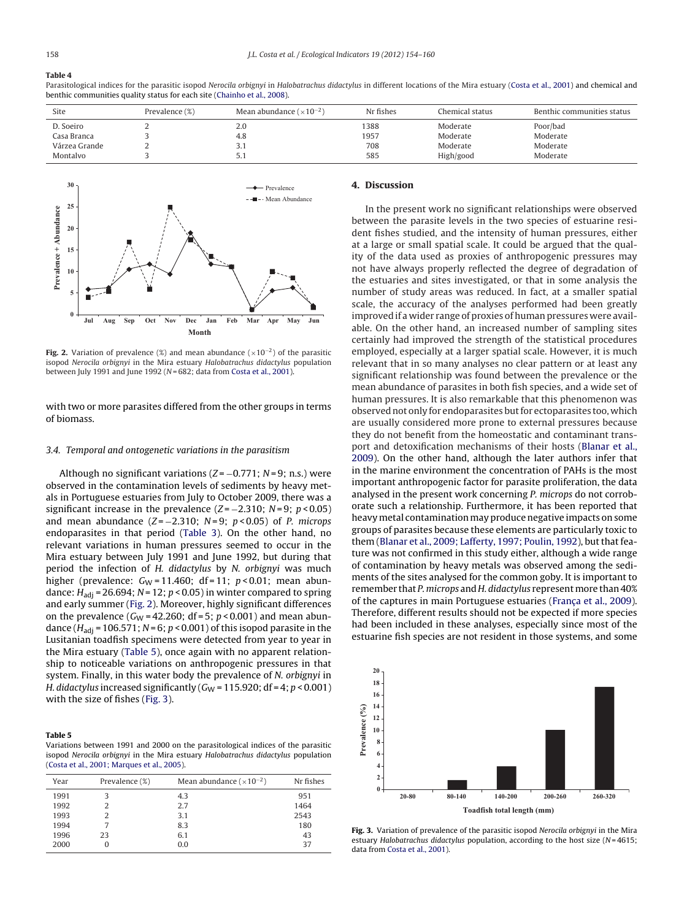## <span id="page-4-0"></span>**Table 4**

Parasitological indices for the parasitic isopod Nerocila orbignyi in Halobatrachus didactylus in different locations of the Mira estuary ([Costa](#page-6-0) et [al.,](#page-6-0) [2001\)](#page-6-0) and chemical and benthic communities quality status for each site [\(Chainho](#page-6-0) et [al.,](#page-6-0) [2008\).](#page-6-0)

| Site          | Prevalence (%) | Mean abundance $(x10^{-2})$ | Nr fishes | Chemical status | Benthic communities status |
|---------------|----------------|-----------------------------|-----------|-----------------|----------------------------|
| D. Soeiro     |                | 2.0                         | 1388      | Moderate        | Poor/bad                   |
| Casa Branca   |                | 4.8                         | 1957      | Moderate        | Moderate                   |
| Várzea Grande |                | 3.1                         | 708       | Moderate        | Moderate                   |
| Montalyo      |                | 5.1                         | 585       | High/good       | Moderate                   |



**Fig. 2.** Variation of prevalence (%) and mean abundance ( $\times 10^{-2}$ ) of the parasitic isopod Nerocila orbignyi in the Mira estuary Halobatrachus didactylus population between July 1991 and June 1992 ( $N = 682$ ; data from [Costa](#page-6-0) et [al.,](#page-6-0) [2001\).](#page-6-0)

with two or more parasites differed from the other groups in terms of biomass.

## 3.4. Temporal and ontogenetic variations in the parasitism

Although no significant variations ( $Z = -0.771$ ;  $N = 9$ ; n.s.) were observed in the contamination levels of sediments by heavy metals in Portuguese estuaries from July to October 2009, there was a significant increase in the prevalence ( $Z = -2.310$ ;  $N = 9$ ;  $p < 0.05$ ) and mean abundance  $(Z = -2.310; N = 9; p < 0.05)$  of P. microps endoparasites in that period ([Table](#page-3-0) 3). On the other hand, no relevant variations in human pressures seemed to occur in the Mira estuary between July 1991 and June 1992, but during that period the infection of H. didactylus by N. orbignyi was much higher (prevalence:  $G_W = 11.460$ ; df = 11;  $p < 0.01$ ; mean abundance:  $H_{\text{adj}}$  = 26.694; N = 12; p < 0.05) in winter compared to spring and early summer (Fig. 2). Moreover, highly significant differences on the prevalence ( $G_W = 42.260$ ; df = 5;  $p < 0.001$ ) and mean abundance ( $H_{\text{adj}}$  = 106.571; N = 6; p < 0.001) of this isopod parasite in the Lusitanian toadfish specimens were detected from year to year in the Mira estuary (Table 5), once again with no apparent relationship to noticeable variations on anthropogenic pressures in that system. Finally, in this water body the prevalence of N. orbignyi in H. didactylus increased significantly ( $G_W$  = 115.920; df = 4;  $p$  < 0.001) with the size of fishes (Fig. 3).

## **Table 5**

Variations between 1991 and 2000 on the parasitological indices of the parasitic isopod Nerocila orbignyi in the Mira estuary Halobatrachus didactylus population [\(Costa](#page-6-0) et [al.,](#page-6-0) [2001;](#page-6-0) [Marques](#page-6-0) et [al.,](#page-6-0) [2005\).](#page-6-0)

| Year | Prevalence (%) | Mean abundance $(x10^{-2})$ | Nr fishes |
|------|----------------|-----------------------------|-----------|
| 1991 | 3              | 4.3                         | 951       |
| 1992 |                | 2.7                         | 1464      |
| 1993 |                | 3.1                         | 2543      |
| 1994 |                | 8.3                         | 180       |
| 1996 | 23             | 6.1                         | 43        |
| 2000 | O              | 0.0                         | 37        |

## **4. Discussion**

In the present work no significant relationships were observed between the parasite levels in the two species of estuarine resident fishes studied, and the intensity of human pressures, either at a large or small spatial scale. It could be argued that the quality of the data used as proxies of anthropogenic pressures may not have always properly reflected the degree of degradation of the estuaries and sites investigated, or that in some analysis the number of study areas was reduced. In fact, at a smaller spatial scale, the accuracy of the analyses performed had been greatly improved if a wider range of proxies of human pressures were available. On the other hand, an increased number of sampling sites certainly had improved the strength of the statistical procedures employed, especially at a larger spatial scale. However, it is much relevant that in so many analyses no clear pattern or at least any significant relationship was found between the prevalence or the mean abundance of parasites in both fish species, and a wide set of human pressures. It is also remarkable that this phenomenon was observed not only for endoparasites but for ectoparasites too, which are usually considered more prone to external pressures because they do not benefit from the homeostatic and contaminant transport and detoxification mechanisms of their hosts ([Blanar](#page-5-0) et [al.,](#page-5-0) [2009\).](#page-5-0) On the other hand, although the later authors infer that in the marine environment the concentration of PAHs is the most important anthropogenic factor for parasite proliferation, the data analysed in the present work concerning P. microps do not corroborate such a relationship. Furthermore, it has been reported that heavy metal contamination may produce negative impacts on some groups of parasites because these elements are particularly toxic to them [\(Blanar](#page-5-0) et [al.,](#page-5-0) [2009;](#page-5-0) [Lafferty,](#page-5-0) [1997;](#page-5-0) [Poulin,](#page-5-0) [1992\),](#page-5-0) but that feature was not confirmed in this study either, although a wide range of contamination by heavy metals was observed among the sediments of the sites analysed for the common goby. It is important to remember that P. microps and H. didactylus represent more than 40% of the captures in main Portuguese estuaries (França et [al.,](#page-6-0) [2009\).](#page-6-0) Therefore, different results should not be expected if more species had been included in these analyses, especially since most of the estuarine fish species are not resident in those systems, and some



**Fig. 3.** Variation of prevalence of the parasitic isopod Nerocila orbignyi in the Mira estuary Halobatrachus didactylus population, according to the host size ( $N = 4615$ ; data from [Costa](#page-6-0) et [al.,](#page-6-0) [2001\).](#page-6-0)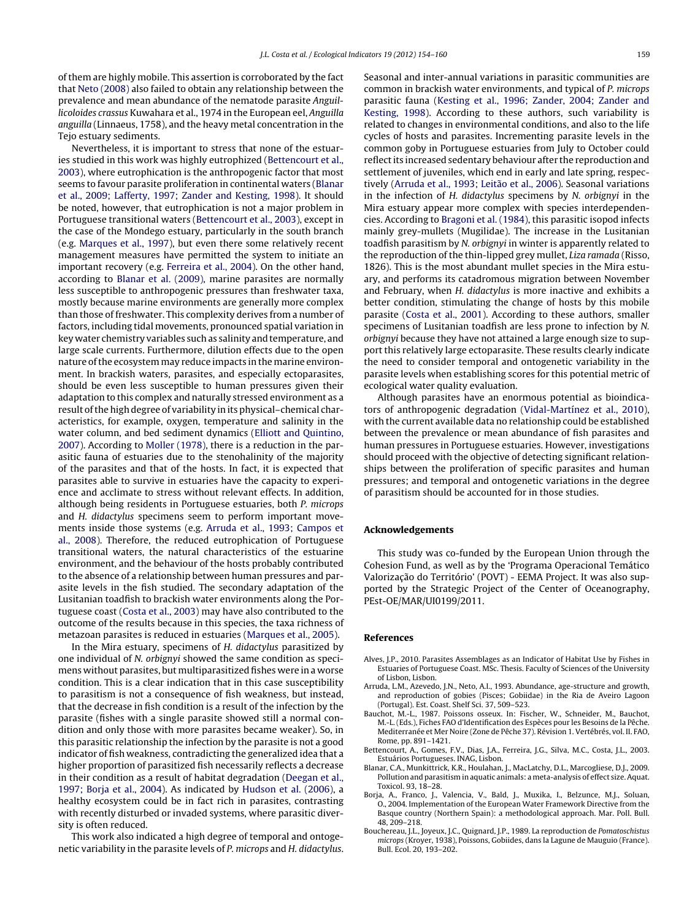<span id="page-5-0"></span>ofthem are highly mobile. This assertion is corroborated by the fact that [Neto](#page-6-0) [\(2008\)](#page-6-0) also failed to obtain any relationship between the prevalence and mean abundance of the nematode parasite Anguillicoloides crassus Kuwahara et al., 1974 in the European eel, Anguilla anguilla (Linnaeus, 1758), and the heavy metal concentration in the Tejo estuary sediments.

Nevertheless, it is important to stress that none of the estuaries studied in this work was highly eutrophized (Bettencourt et al., 2003), where eutrophication is the anthropogenic factor that most seems to favour parasite proliferation in continental waters (Blanar et al., 2009; Lafferty, 1997; Zander and Kesting, 1998). It should be noted, however, that eutrophication is not a major problem in Portuguese transitional waters (Bettencourt et al., 2003), except in the case of the Mondego estuary, particularly in the south branch (e.g. [Marques](#page-6-0) [et](#page-6-0) [al.,](#page-6-0) [1997\),](#page-6-0) but even there some relatively recent management measures have permitted the system to initiate an important recovery (e.g. [Ferreira](#page-6-0) et [al.,](#page-6-0) [2004\).](#page-6-0) On the other hand, according to Blanar et al. (2009), marine parasites are normally less susceptible to anthropogenic pressures than freshwater taxa, mostly because marine environments are generally more complex than those of freshwater. This complexity derives from a number of factors, including tidal movements, pronounced spatial variation in key water chemistry variables such as salinity and temperature, and large scale currents. Furthermore, dilution effects due to the open nature ofthe ecosystem may reduce impacts in the marine environment. In brackish waters, parasites, and especially ectoparasites, should be even less susceptible to human pressures given their adaptation to this complex and naturally stressed environment as a result ofthe high degree of variability in its physical–chemical characteristics, for example, oxygen, temperature and salinity in the water column, and bed sediment dynamics ([Elliott](#page-6-0) [and](#page-6-0) [Quintino,](#page-6-0) [2007\).](#page-6-0) According to [Moller](#page-6-0) [\(1978\),](#page-6-0) there is a reduction in the parasitic fauna of estuaries due to the stenohalinity of the majority of the parasites and that of the hosts. In fact, it is expected that parasites able to survive in estuaries have the capacity to experience and acclimate to stress without relevant effects. In addition, although being residents in Portuguese estuaries, both P. microps and H. didactylus specimens seem to perform important movements inside those systems (e.g. Arruda et al., 1993; Campos et al., 2008). Therefore, the reduced eutrophication of Portuguese transitional waters, the natural characteristics of the estuarine environment, and the behaviour of the hosts probably contributed to the absence of a relationship between human pressures and parasite levels in the fish studied. The secondary adaptation of the Lusitanian toadfish to brackish water environments along the Portuguese coast ([Costa](#page-6-0) et [al.,](#page-6-0) [2003\)](#page-6-0) may have also contributed to the outcome of the results because in this species, the taxa richness of metazoan parasites is reduced in estuaries [\(Marques](#page-6-0) et [al.,](#page-6-0) [2005\).](#page-6-0)

In the Mira estuary, specimens of H. didactylus parasitized by one individual of N. orbignyi showed the same condition as specimens without parasites, but multiparasitized fishes were in a worse condition. This is a clear indication that in this case susceptibility to parasitism is not a consequence of fish weakness, but instead, that the decrease in fish condition is a result of the infection by the parasite (fishes with a single parasite showed still a normal condition and only those with more parasites became weaker). So, in this parasitic relationship the infection by the parasite is not a good indicator of fish weakness, contradicting the generalized idea that a higher proportion of parasitized fish necessarily reflects a decrease in their condition as a result of habitat degradation [\(Deegan](#page-6-0) et [al.,](#page-6-0) [1997;](#page-6-0) [Borja](#page-6-0) et [al.,](#page-6-0) [2004\).](#page-6-0) As indicated by [Hudson](#page-6-0) [et](#page-6-0) [al.](#page-6-0) [\(2006\),](#page-6-0) a healthy ecosystem could be in fact rich in parasites, contrasting with recently disturbed or invaded systems, where parasitic diversity is often reduced.

This work also indicated a high degree of temporal and ontogenetic variability in the parasite levels of P. microps and H. didactylus. Seasonal and inter-annual variations in parasitic communities are common in brackish water environments, and typical of P. microps parasitic fauna ([Kesting](#page-6-0) [et](#page-6-0) [al.,](#page-6-0) [1996;](#page-6-0) [Zander,](#page-6-0) [2004;](#page-6-0) [Zander](#page-6-0) [and](#page-6-0) [Kesting,](#page-6-0) [1998\).](#page-6-0) According to these authors, such variability is related to changes in environmental conditions, and also to the life cycles of hosts and parasites. Incrementing parasite levels in the common goby in Portuguese estuaries from July to October could reflectits increased sedentary behaviour after the reproduction and settlement of juveniles, which end in early and late spring, respectively (Arruda et al., 1993; Leitão et al., 2006). Seasonal variations in the infection of H. didactylus specimens by N. orbignyi in the Mira estuary appear more complex with species interdependencies. According to [Bragoni](#page-6-0) et [al.](#page-6-0) [\(1984\),](#page-6-0) this parasitic isopod infects mainly grey-mullets (Mugilidae). The increase in the Lusitanian toadfish parasitism by N. orbignyi in winter is apparently related to the reproduction of the thin-lipped grey mullet, Liza ramada (Risso, 1826). This is the most abundant mullet species in the Mira estuary, and performs its catadromous migration between November and February, when H. didactylus is more inactive and exhibits a better condition, stimulating the change of hosts by this mobile parasite [\(Costa](#page-6-0) et [al.,](#page-6-0) [2001\).](#page-6-0) According to these authors, smaller specimens of Lusitanian toadfish are less prone to infection by N. orbignyi because they have not attained a large enough size to support this relatively large ectoparasite. These results clearly indicate the need to consider temporal and ontogenetic variability in the parasite levels when establishing scores for this potential metric of ecological water quality evaluation.

Although parasites have an enormous potential as bioindicators of anthropogenic degradation [\(Vidal-Martínez](#page-6-0) et [al.,](#page-6-0) [2010\),](#page-6-0) with the current available data no relationship could be established between the prevalence or mean abundance of fish parasites and human pressures in Portuguese estuaries. However, investigations should proceed with the objective of detecting significant relationships between the proliferation of specific parasites and human pressures; and temporal and ontogenetic variations in the degree of parasitism should be accounted for in those studies.

## **Acknowledgements**

This study was co-funded by the European Union through the Cohesion Fund, as well as by the 'Programa Operacional Temático Valorização do Território' (POVT) - EEMA Project. It was also supported by the Strategic Project of the Center of Oceanography, PEst-OE/MAR/UI0199/2011.

#### **References**

- Alves, J.P., 2010. Parasites Assemblages as an Indicator of Habitat Use by Fishes in Estuaries of Portuguese Coast. MSc. Thesis. Faculty of Sciences of the University of Lisbon, Lisbon.
- Arruda, L.M., Azevedo, J.N., Neto, A.I., 1993. Abundance, age-structure and growth, and reproduction of gobies (Pisces; Gobiidae) in the Ria de Aveiro Lagoon (Portugal). Est. Coast. Shelf Sci. 37, 509–523.
- Bauchot, M.-L., 1987. Poissons osseux. In: Fischer, W., Schneider, M., Bauchot, M.-L. (Eds.), Fiches FAO d'Identification des Espèces pour les Besoins de la Pêche. Mediterranée et Mer Noire (Zone de Pêche 37). Révision 1. Vertébrés, vol. II. FAO, Rome, pp. 891–1421.
- Bettencourt, A., Gomes, F.V., Dias, J.A., Ferreira, J.G., Silva, M.C., Costa, J.L., 2003. Estuários Portugueses. INAG, Lisbon.
- Blanar, C.A., Munkittrick, K.R., Houlahan, J., MacLatchy, D.L., Marcogliese, D.J., 2009. Pollution and parasitism in aquatic animals: a meta-analysis of effect size.Aquat. Toxicol. 93, 18–28.
- Borja, A., Franco, J., Valencia, V., Bald, J., Muxika, I., Belzunce, M.J., Soluan, O., 2004. Implementation of the European Water Framework Directive from the Basque country (Northern Spain): a methodological approach. Mar. Poll. Bull. 48, 209–218.
- Bouchereau, J.L., Joyeux, J.C., Quignard, J.P., 1989. La reproduction de Pomatoschistus microps (Kroyer, 1938), Poissons, Gobiides, dans la Lagune de Mauguio (France). Bull. Ecol. 20, 193–202.